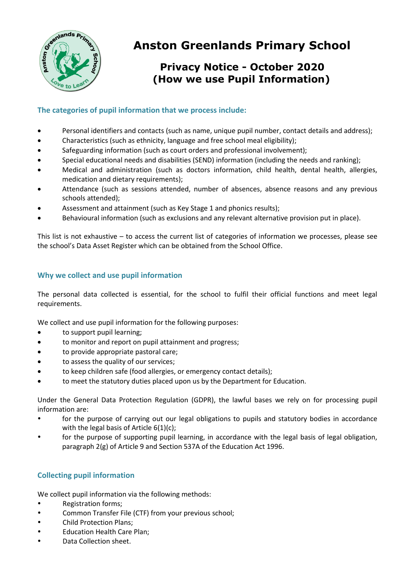

# **Anston Greenlands Primary School**

## **Privacy Notice - October 2020 (How we use Pupil Information)**

## **The categories of pupil information that we process include:**

- Personal identifiers and contacts (such as name, unique pupil number, contact details and address);
- Characteristics (such as ethnicity, language and free school meal eligibility);
- Safeguarding information (such as court orders and professional involvement);
- Special educational needs and disabilities (SEND) information (including the needs and ranking);
- Medical and administration (such as doctors information, child health, dental health, allergies, medication and dietary requirements);
- Attendance (such as sessions attended, number of absences, absence reasons and any previous schools attended);
- Assessment and attainment (such as Key Stage 1 and phonics results);
- Behavioural information (such as exclusions and any relevant alternative provision put in place).

This list is not exhaustive – to access the current list of categories of information we processes, please see the school's Data Asset Register which can be obtained from the School Office.

## **Why we collect and use pupil information**

The personal data collected is essential, for the school to fulfil their official functions and meet legal requirements.

We collect and use pupil information for the following purposes:

- to support pupil learning;
- to monitor and report on pupil attainment and progress;
- to provide appropriate pastoral care;
- to assess the quality of our services;
- to keep children safe (food allergies, or emergency contact details);
- to meet the statutory duties placed upon us by the Department for Education.

Under the General Data Protection Regulation (GDPR), the lawful bases we rely on for processing pupil information are:

- for the purpose of carrying out our legal obligations to pupils and statutory bodies in accordance with the legal basis of Article  $6(1)(c)$ ;
- for the purpose of supporting pupil learning, in accordance with the legal basis of legal obligation, paragraph 2(g) of Article 9 and Section 537A of the Education Act 1996.

## **Collecting pupil information**

We collect pupil information via the following methods:

- Registration forms;
- Common Transfer File (CTF) from your previous school;
- Child Protection Plans;
- Education Health Care Plan;
- Data Collection sheet.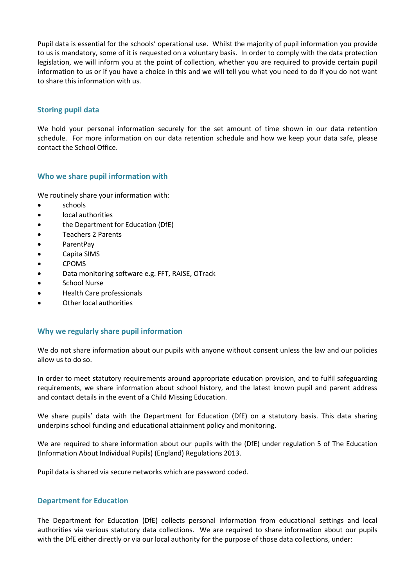Pupil data is essential for the schools' operational use. Whilst the majority of pupil information you provide to us is mandatory, some of it is requested on a voluntary basis. In order to comply with the data protection legislation, we will inform you at the point of collection, whether you are required to provide certain pupil information to us or if you have a choice in this and we will tell you what you need to do if you do not want to share this information with us.

## **Storing pupil data**

We hold your personal information securely for the set amount of time shown in our data retention schedule. For more information on our data retention schedule and how we keep your data safe, please contact the School Office.

#### **Who we share pupil information with**

We routinely share your information with:

- schools
- local authorities
- the Department for Education (DfE)
- Teachers 2 Parents
- ParentPay
- Capita SIMS
- CPOMS
- Data monitoring software e.g. FFT, RAISE, OTrack
- **•** School Nurse
- Health Care professionals
- Other local authorities

#### **Why we regularly share pupil information**

We do not share information about our pupils with anyone without consent unless the law and our policies allow us to do so.

In order to meet statutory requirements around appropriate education provision, and to fulfil safeguarding requirements, we share information about school history, and the latest known pupil and parent address and contact details in the event of a Child Missing Education.

We share pupils' data with the Department for Education (DfE) on a statutory basis. This data sharing underpins school funding and educational attainment policy and monitoring.

We are required to share information about our pupils with the (DfE) under regulation 5 of The Education (Information About Individual Pupils) (England) Regulations 2013.

Pupil data is shared via secure networks which are password coded.

#### **Department for Education**

The Department for Education (DfE) collects personal information from educational settings and local authorities via various statutory data collections. We are required to share information about our pupils with the DfE either directly or via our local authority for the purpose of those data collections, under: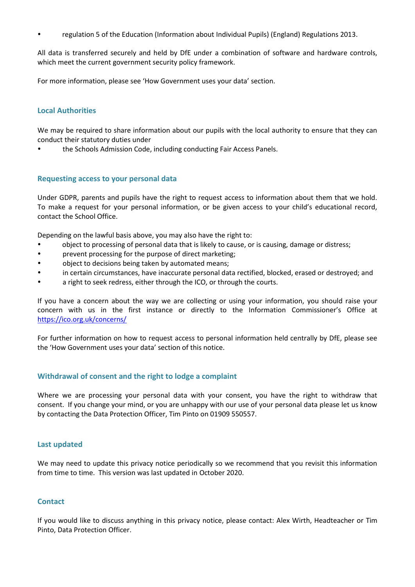regulation 5 of the Education (Information about Individual Pupils) (England) Regulations 2013.

All data is transferred securely and held by DfE under a combination of software and hardware controls, which meet the current government security policy framework.

For more information, please see 'How Government uses your data' section.

#### **Local Authorities**

We may be required to share information about our pupils with the local authority to ensure that they can conduct their statutory duties under

the Schools Admission Code, including conducting Fair Access Panels.

#### **Requesting access to your personal data**

Under GDPR, parents and pupils have the right to request access to information about them that we hold. To make a request for your personal information, or be given access to your child's educational record, contact the School Office.

Depending on the lawful basis above, you may also have the right to:

- object to processing of personal data that is likely to cause, or is causing, damage or distress;
- prevent processing for the purpose of direct marketing;
- object to decisions being taken by automated means;
- in certain circumstances, have inaccurate personal data rectified, blocked, erased or destroyed; and
- a right to seek redress, either through the ICO, or through the courts.

If you have a concern about the way we are collecting or using your information, you should raise your concern with us in the first instance or directly to the Information Commissioner's Office at <https://ico.org.uk/concerns/>

For further information on how to request access to personal information held centrally by DfE, please see the 'How Government uses your data' section of this notice.

## **Withdrawal of consent and the right to lodge a complaint**

Where we are processing your personal data with your consent, you have the right to withdraw that consent. If you change your mind, or you are unhappy with our use of your personal data please let us know by contacting the Data Protection Officer, Tim Pinto on 01909 550557.

#### **Last updated**

We may need to update this privacy notice periodically so we recommend that you revisit this information from time to time. This version was last updated in October 2020.

#### **Contact**

If you would like to discuss anything in this privacy notice, please contact: Alex Wirth, Headteacher or Tim Pinto, Data Protection Officer.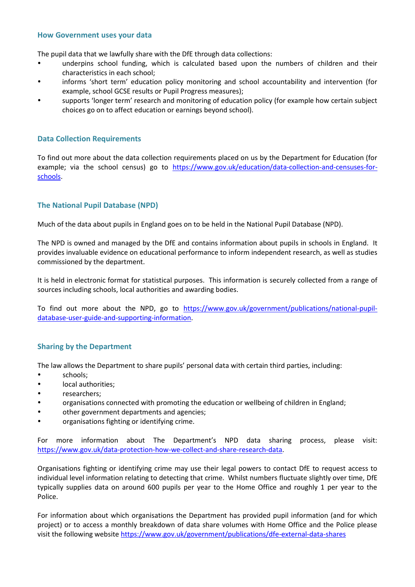#### **How Government uses your data**

The pupil data that we lawfully share with the DfE through data collections:

- underpins school funding, which is calculated based upon the numbers of children and their characteristics in each school;
- informs 'short term' education policy monitoring and school accountability and intervention (for example, school GCSE results or Pupil Progress measures);
- supports 'longer term' research and monitoring of education policy (for example how certain subject choices go on to affect education or earnings beyond school).

#### **Data Collection Requirements**

To find out more about the data collection requirements placed on us by the Department for Education (for example; via the school census) go to [https://www.gov.uk/education/data-collection-and-censuses-for](https://www.gov.uk/education/data-collection-and-censuses-for-schools)[schools.](https://www.gov.uk/education/data-collection-and-censuses-for-schools)

## **The National Pupil Database (NPD)**

Much of the data about pupils in England goes on to be held in the National Pupil Database (NPD).

The NPD is owned and managed by the DfE and contains information about pupils in schools in England. It provides invaluable evidence on educational performance to inform independent research, as well as studies commissioned by the department.

It is held in electronic format for statistical purposes. This information is securely collected from a range of sources including schools, local authorities and awarding bodies.

To find out more about the NPD, go to [https://www.gov.uk/government/publications/national-pupil](https://www.gov.uk/government/publications/national-pupil-database-user-guide-and-supporting-information)[database-user-guide-and-supporting-information.](https://www.gov.uk/government/publications/national-pupil-database-user-guide-and-supporting-information)

#### **Sharing by the Department**

The law allows the Department to share pupils' personal data with certain third parties, including:

- schools;
- local authorities;
- researchers;
- organisations connected with promoting the education or wellbeing of children in England;
- other government departments and agencies;
- organisations fighting or identifying crime.

For more information about The Department's NPD data sharing process, please visit: [https://www.gov.uk/data-protection-how-we-collect-and-share-research-data.](https://www.gov.uk/data-protection-how-we-collect-and-share-research-data)

Organisations fighting or identifying crime may use their legal powers to contact DfE to request access to individual level information relating to detecting that crime. Whilst numbers fluctuate slightly over time, DfE typically supplies data on around 600 pupils per year to the Home Office and roughly 1 per year to the Police.

For information about which organisations the Department has provided pupil information (and for which project) or to access a monthly breakdown of data share volumes with Home Office and the Police please visit the following website<https://www.gov.uk/government/publications/dfe-external-data-shares>